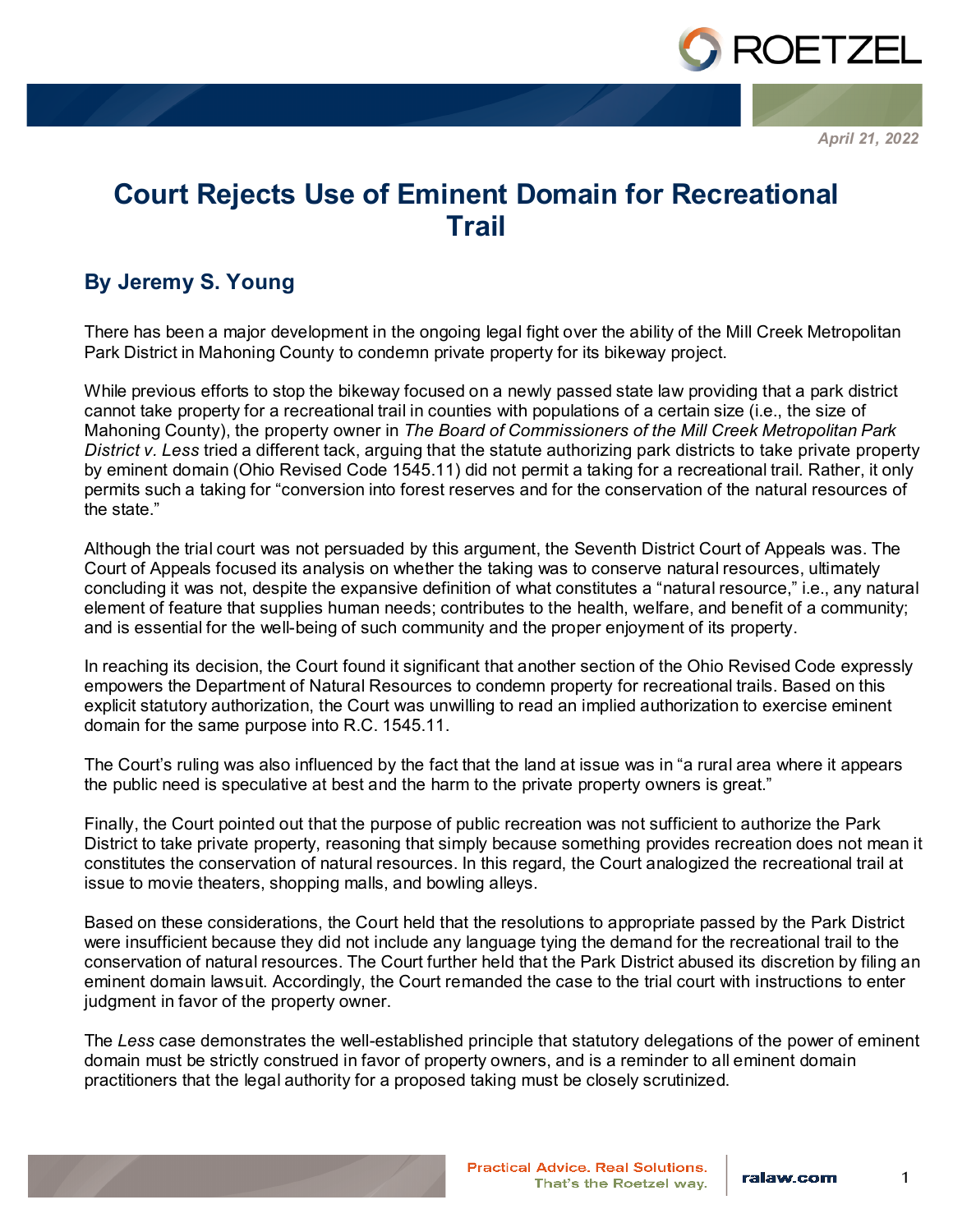

*April 21, 2022*

## **Court Rejects Use of Eminent Domain for Recreational Trail**

## **By Jeremy S. Young**

There has been a major development in the ongoing legal fight over the ability of the Mill Creek Metropolitan Park District in Mahoning County to condemn private property for its bikeway project.

While previous efforts to stop the bikeway focused on a newly passed state law providing that a park district cannot take property for a recreational trail in counties with populations of a certain size (i.e., the size of Mahoning County), the property owner in *The Board of Commissioners of the Mill Creek Metropolitan Park District v. Less* tried a different tack, arguing that the statute authorizing park districts to take private property by eminent domain (Ohio Revised Code 1545.11) did not permit a taking for a recreational trail. Rather, it only permits such a taking for "conversion into forest reserves and for the conservation of the natural resources of the state."

Although the trial court was not persuaded by this argument, the Seventh District Court of Appeals was. The Court of Appeals focused its analysis on whether the taking was to conserve natural resources, ultimately concluding it was not, despite the expansive definition of what constitutes a "natural resource," i.e., any natural element of feature that supplies human needs; contributes to the health, welfare, and benefit of a community; and is essential for the well-being of such community and the proper enjoyment of its property.

In reaching its decision, the Court found it significant that another section of the Ohio Revised Code expressly empowers the Department of Natural Resources to condemn property for recreational trails. Based on this explicit statutory authorization, the Court was unwilling to read an implied authorization to exercise eminent domain for the same purpose into R.C. 1545.11.

The Court's ruling was also influenced by the fact that the land at issue was in "a rural area where it appears the public need is speculative at best and the harm to the private property owners is great."

Finally, the Court pointed out that the purpose of public recreation was not sufficient to authorize the Park District to take private property, reasoning that simply because something provides recreation does not mean it constitutes the conservation of natural resources. In this regard, the Court analogized the recreational trail at issue to movie theaters, shopping malls, and bowling alleys.

Based on these considerations, the Court held that the resolutions to appropriate passed by the Park District were insufficient because they did not include any language tying the demand for the recreational trail to the conservation of natural resources. The Court further held that the Park District abused its discretion by filing an eminent domain lawsuit. Accordingly, the Court remanded the case to the trial court with instructions to enter judgment in favor of the property owner.

The *Less* case demonstrates the well-established principle that statutory delegations of the power of eminent domain must be strictly construed in favor of property owners, and is a reminder to all eminent domain practitioners that the legal authority for a proposed taking must be closely scrutinized.